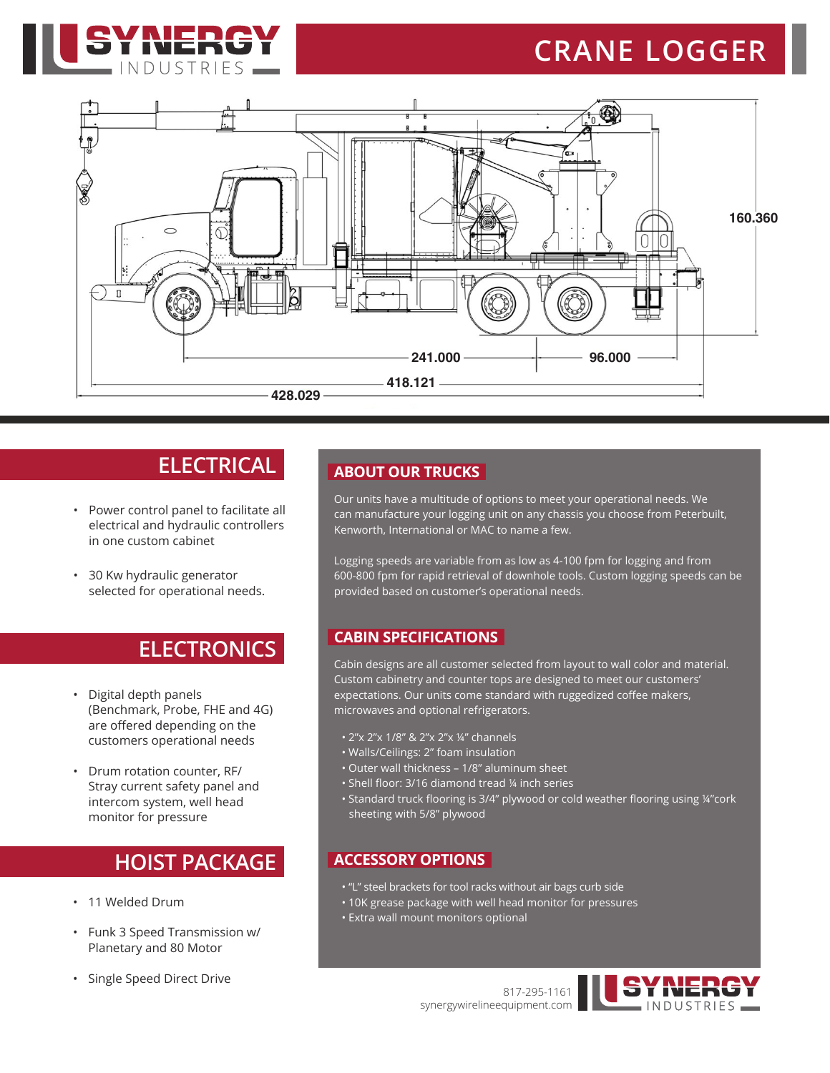

# **CRANE LOGGER**



# **ELECTRICAL**

- Power control panel to facilitate all electrical and hydraulic controllers in one custom cabinet
- 30 Kw hydraulic generator selected for operational needs.

### **ELECTRONICS**

- Digital depth panels (Benchmark, Probe, FHE and 4G) are offered depending on the customers operational needs
- Drum rotation counter, RF/ Stray current safety panel and intercom system, well head monitor for pressure

## **HOIST PACKAGE**

- 11 Welded Drum
- Funk 3 Speed Transmission w/ Planetary and 80 Motor
- Single Speed Direct Drive

#### **ABOUT OUR TRUCKS**

Our units have a multitude of options to meet your operational needs. We can manufacture your logging unit on any chassis you choose from Peterbuilt, Kenworth, International or MAC to name a few.

Logging speeds are variable from as low as 4-100 fpm for logging and from 600-800 fpm for rapid retrieval of downhole tools. Custom logging speeds can be provided based on customer's operational needs.

#### **CABIN SPECIFICATIONS**

Cabin designs are all customer selected from layout to wall color and material. Custom cabinetry and counter tops are designed to meet our customers' expectations. Our units come standard with ruggedized coffee makers, microwaves and optional refrigerators.

- 2"x 2"x 1/8" & 2"x 2"x ¼" channels
- Walls/Ceilings: 2" foam insulation
- Outer wall thickness 1/8" aluminum sheet
- Shell floor: 3/16 diamond tread ¼ inch series
- Standard truck flooring is 3/4" plywood or cold weather flooring using ¼"cork sheeting with 5/8" plywood

#### **ACCESSORY OPTIONS**

- "L" steel brackets for tool racks without air bags curb side
- 10K grease package with well head monitor for pressures
- Extra wall mount monitors optional

817-295-1161 synergywirelineequipment.com